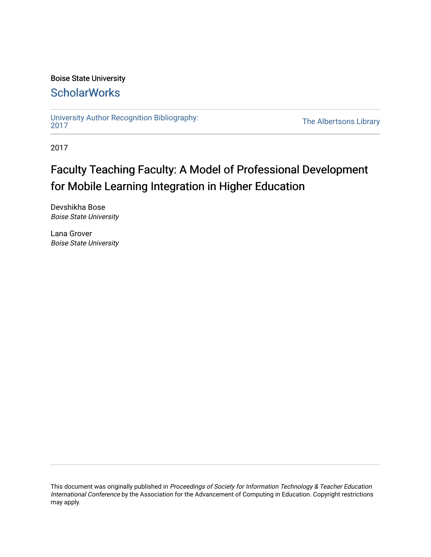# Boise State University

# **ScholarWorks**

[University Author Recognition Bibliography:](https://scholarworks.boisestate.edu/uar_2017)

The Albertsons Library

2017

# Faculty Teaching Faculty: A Model of Professional Development for Mobile Learning Integration in Higher Education

Devshikha Bose Boise State University

Lana Grover Boise State University

This document was originally published in Proceedings of Society for Information Technology & Teacher Education International Conference by the Association for the Advancement of Computing in Education. Copyright restrictions may apply.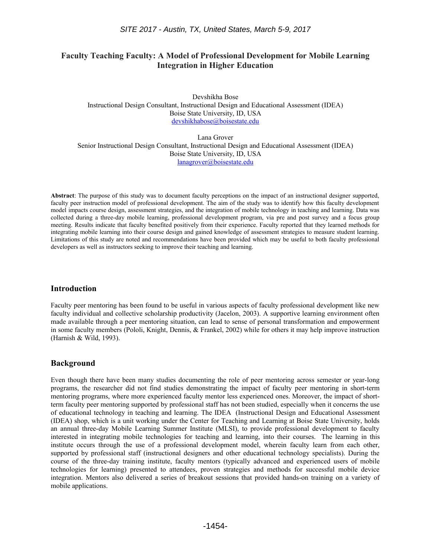# **Faculty Teaching Faculty: A Model of Professional Development for Mobile Learning Integration in Higher Education**

Devshikha Bose Instructional Design Consultant, Instructional Design and Educational Assessment (IDEA) Boise State University, ID, USA [devshikhabose@boisestate.edu](mailto:devshikhabose@boisestate.edu)

Lana Grover Senior Instructional Design Consultant, Instructional Design and Educational Assessment (IDEA) Boise State University, ID, USA [lanagrover@boisestate.edu](mailto:lanagrover@boisestate.edu)

**Abstract**: The purpose of this study was to document faculty perceptions on the impact of an instructional designer supported, faculty peer instruction model of professional development. The aim of the study was to identify how this faculty development model impacts course design, assessment strategies, and the integration of mobile technology in teaching and learning. Data was collected during a three-day mobile learning, professional development program, via pre and post survey and a focus group meeting. Results indicate that faculty benefited positively from their experience. Faculty reported that they learned methods for integrating mobile learning into their course design and gained knowledge of assessment strategies to measure student learning. Limitations of this study are noted and recommendations have been provided which may be useful to both faculty professional developers as well as instructors seeking to improve their teaching and learning.

#### **Introduction**

Faculty peer mentoring has been found to be useful in various aspects of faculty professional development like new faculty individual and collective scholarship productivity (Jacelon, 2003). A supportive learning environment often made available through a peer mentoring situation, can lead to sense of personal transformation and empowerment in some faculty members (Pololi, Knight, Dennis, & Frankel, 2002) while for others it may help improve instruction (Harnish & Wild, 1993).

# **Background**

Even though there have been many studies documenting the role of peer mentoring across semester or year-long programs, the researcher did not find studies demonstrating the impact of faculty peer mentoring in short-term mentoring programs, where more experienced faculty mentor less experienced ones. Moreover, the impact of shortterm faculty peer mentoring supported by professional staff has not been studied, especially when it concerns the use of educational technology in teaching and learning. The IDEA (Instructional Design and Educational Assessment (IDEA) shop, which is a unit working under the Center for Teaching and Learning at Boise State University, holds an annual three-day Mobile Learning Summer Institute (MLSI), to provide professional development to faculty interested in integrating mobile technologies for teaching and learning, into their courses. The learning in this institute occurs through the use of a professional development model, wherein faculty learn from each other, supported by professional staff (instructional designers and other educational technology specialists). During the course of the three-day training institute, faculty mentors (typically advanced and experienced users of mobile technologies for learning) presented to attendees, proven strategies and methods for successful mobile device integration. Mentors also delivered a series of breakout sessions that provided hands-on training on a variety of mobile applications.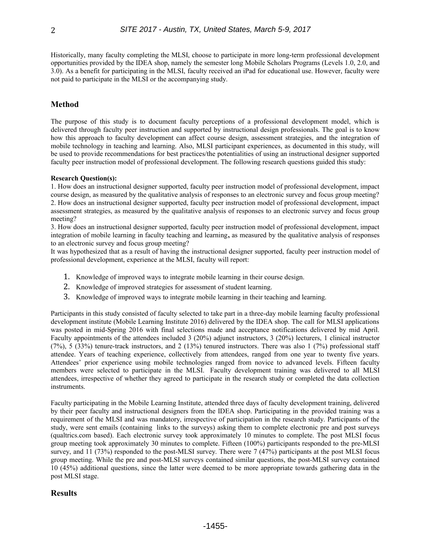Historically, many faculty completing the MLSI, choose to participate in more long-term professional development opportunities provided by the IDEA shop, namely the semester long Mobile Scholars Programs (Levels 1.0, 2.0, and 3.0). As a benefit for participating in the MLSI, faculty received an iPad for educational use. However, faculty were not paid to participate in the MLSI or the accompanying study.

# **Method**

The purpose of this study is to document faculty perceptions of a professional development model, which is delivered through faculty peer instruction and supported by instructional design professionals. The goal is to know how this approach to faculty development can affect course design, assessment strategies, and the integration of mobile technology in teaching and learning. Also, MLSI participant experiences, as documented in this study, will be used to provide recommendations for best practices/the potentialities of using an instructional designer supported faculty peer instruction model of professional development. The following research questions guided this study:

#### **Research Question(s):**

1. How does an instructional designer supported, faculty peer instruction model of professional development, impact course design, as measured by the qualitative analysis of responses to an electronic survey and focus group meeting? 2. How does an instructional designer supported, faculty peer instruction model of professional development, impact assessment strategies, as measured by the qualitative analysis of responses to an electronic survey and focus group meeting?

3. How does an instructional designer supported, faculty peer instruction model of professional development, impact integration of mobile learning in faculty teaching and learning**,** as measured by the qualitative analysis of responses to an electronic survey and focus group meeting?

It was hypothesized that as a result of having the instructional designer supported, faculty peer instruction model of professional development, experience at the MLSI, faculty will report:

- 1. Knowledge of improved ways to integrate mobile learning in their course design.
- 2. Knowledge of improved strategies for assessment of student learning.
- 3. Knowledge of improved ways to integrate mobile learning in their teaching and learning.

Participants in this study consisted of faculty selected to take part in a three-day mobile learning faculty professional development institute (Mobile Learning Institute 2016) delivered by the IDEA shop. The call for MLSI applications was posted in mid-Spring 2016 with final selections made and acceptance notifications delivered by mid April. Faculty appointments of the attendees included 3 (20%) adjunct instructors, 3 (20%) lecturers, 1 clinical instructor (7%), 5 (33%) tenure-track instructors, and 2 (13%) tenured instructors. There was also 1 (7%) professional staff attendee. Years of teaching experience, collectively from attendees, ranged from one year to twenty five years. Attendees' prior experience using mobile technologies ranged from novice to advanced levels. Fifteen faculty members were selected to participate in the MLSI. Faculty development training was delivered to all MLSI attendees, irrespective of whether they agreed to participate in the research study or completed the data collection instruments.

Faculty participating in the Mobile Learning Institute, attended three days of faculty development training, delivered by their peer faculty and instructional designers from the IDEA shop. Participating in the provided training was a requirement of the MLSI and was mandatory, irrespective of participation in the research study. Participants of the study, were sent emails (containing links to the surveys) asking them to complete electronic pre and post surveys (qualtrics.com based). Each electronic survey took approximately 10 minutes to complete. The post MLSI focus group meeting took approximately 30 minutes to complete. Fifteen (100%) participants responded to the pre-MLSI survey, and 11 (73%) responded to the post-MLSI survey. There were 7 (47%) participants at the post MLSI focus group meeting. While the pre and post-MLSI surveys contained similar questions, the post-MLSI survey contained 10 (45%) additional questions, since the latter were deemed to be more appropriate towards gathering data in the post MLSI stage.

#### **Results**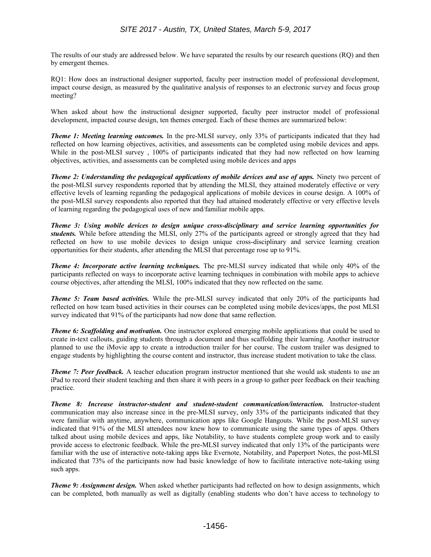The results of our study are addressed below. We have separated the results by our research questions (RQ) and then by emergent themes.

RQ1: How does an instructional designer supported, faculty peer instruction model of professional development, impact course design, as measured by the qualitative analysis of responses to an electronic survey and focus group meeting?

When asked about how the instructional designer supported, faculty peer instructor model of professional development, impacted course design, ten themes emerged. Each of these themes are summarized below:

*Theme 1: Meeting learning outcomes.* In the pre-MLSI survey, only 33% of participants indicated that they had reflected on how learning objectives, activities, and assessments can be completed using mobile devices and apps. While in the post-MLSI survey, 100% of participants indicated that they had now reflected on how learning objectives, activities, and assessments can be completed using mobile devices and apps

*Theme 2: Understanding the pedagogical applications of mobile devices and use of apps.* **Ninety two percent of** the post-MLSI survey respondents reported that by attending the MLSI, they attained moderately effective or very effective levels of learning regarding the pedagogical applications of mobile devices in course design. A 100% of the post-MLSI survey respondents also reported that they had attained moderately effective or very effective levels of learning regarding the pedagogical uses of new and/familiar mobile apps.

*Theme 3: Using mobile devices to design unique cross-disciplinary and service learning opportunities for students.* While before attending the MLSI, only 27% of the participants agreed or strongly agreed that they had reflected on how to use mobile devices to design unique cross-disciplinary and service learning creation opportunities for their students, after attending the MLSI that percentage rose up to 91%.

*Theme 4: Incorporate active learning techniques.* The pre-MLSI survey indicated that while only 40% of the participants reflected on ways to incorporate active learning techniques in combination with mobile apps to achieve course objectives, after attending the MLSI, 100% indicated that they now reflected on the same.

*Theme 5: Team based activities.* While the pre-MLSI survey indicated that only 20% of the participants had reflected on how team based activities in their courses can be completed using mobile devices/apps, the post MLSI survey indicated that 91% of the participants had now done that same reflection.

*Theme 6: Scaffolding and motivation.* One instructor explored emerging mobile applications that could be used to create in-text callouts, guiding students through a document and thus scaffolding their learning. Another instructor planned to use the iMovie app to create a introduction trailer for her course. The custom trailer was designed to engage students by highlighting the course content and instructor, thus increase student motivation to take the class.

*Theme 7: Peer feedback.* A teacher education program instructor mentioned that she would ask students to use an iPad to record their student teaching and then share it with peers in a group to gather peer feedback on their teaching practice.

*Theme 8: Increase instructor-student and student-student communication/interaction.* Instructor-student communication may also increase since in the pre-MLSI survey, only 33% of the participants indicated that they were familiar with anytime, anywhere, communication apps like Google Hangouts. While the post-MLSI survey indicated that 91% of the MLSI attendees now knew how to communicate using the same types of apps. Others talked about using mobile devices and apps, like Notability, to have students complete group work and to easily provide access to electronic feedback. While the pre-MLSI survey indicated that only 13% of the participants were familiar with the use of interactive note-taking apps like Evernote, Notability, and Paperport Notes, the post-MLSI indicated that 73% of the participants now had basic knowledge of how to facilitate interactive note-taking using such apps.

*Theme 9: Assignment design.* When asked whether participants had reflected on how to design assignments, which can be completed, both manually as well as digitally (enabling students who don't have access to technology to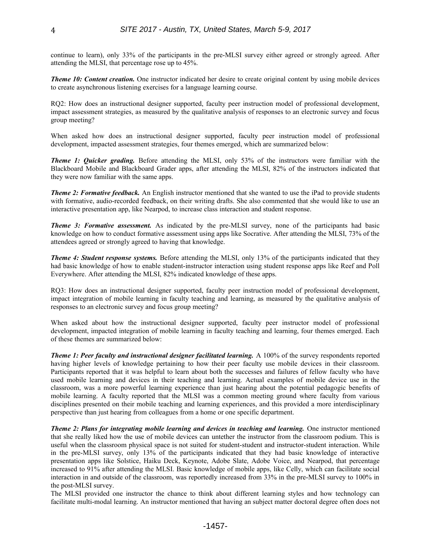continue to learn), only 33% of the participants in the pre-MLSI survey either agreed or strongly agreed. After attending the MLSI, that percentage rose up to 45%.

*Theme 10: Content creation.* One instructor indicated her desire to create original content by using mobile devices to create asynchronous listening exercises for a language learning course.

RQ2: How does an instructional designer supported, faculty peer instruction model of professional development, impact assessment strategies, as measured by the qualitative analysis of responses to an electronic survey and focus group meeting?

When asked how does an instructional designer supported, faculty peer instruction model of professional development, impacted assessment strategies, four themes emerged, which are summarized below:

*Theme 1: Quicker grading.* Before attending the MLSI, only 53% of the instructors were familiar with the Blackboard Mobile and Blackboard Grader apps, after attending the MLSI, 82% of the instructors indicated that they were now familiar with the same apps.

*Theme 2: Formative feedback.* An English instructor mentioned that she wanted to use the iPad to provide students with formative, audio-recorded feedback, on their writing drafts. She also commented that she would like to use an interactive presentation app, like Nearpod, to increase class interaction and student response.

*Theme 3: Formative assessment.* As indicated by the pre-MLSI survey, none of the participants had basic knowledge on how to conduct formative assessment using apps like Socrative. After attending the MLSI, 73% of the attendees agreed or strongly agreed to having that knowledge.

*Theme 4: Student response systems.* Before attending the MLSI, only 13% of the participants indicated that they had basic knowledge of how to enable student-instructor interaction using student response apps like Reef and Poll Everywhere. After attending the MLSI, 82% indicated knowledge of these apps.

RQ3: How does an instructional designer supported, faculty peer instruction model of professional development, impact integration of mobile learning in faculty teaching and learning, as measured by the qualitative analysis of responses to an electronic survey and focus group meeting?

When asked about how the instructional designer supported, faculty peer instructor model of professional development, impacted integration of mobile learning in faculty teaching and learning, four themes emerged. Each of these themes are summarized below:

*Theme 1: Peer faculty and instructional designer facilitated learning.* **A 100% of the survey respondents reported** having higher levels of knowledge pertaining to how their peer faculty use mobile devices in their classroom. Participants reported that it was helpful to learn about both the successes and failures of fellow faculty who have used mobile learning and devices in their teaching and learning. Actual examples of mobile device use in the classroom, was a more powerful learning experience than just hearing about the potential pedagogic benefits of mobile learning. A faculty reported that the MLSI was a common meeting ground where faculty from various disciplines presented on their mobile teaching and learning experiences, and this provided a more interdisciplinary perspective than just hearing from colleagues from a home or one specific department.

*Theme 2: Plans for integrating mobile learning and devices in teaching and learning.* One instructor mentioned that she really liked how the use of mobile devices can untether the instructor from the classroom podium. This is useful when the classroom physical space is not suited for student-student and instructor-student interaction. While in the pre-MLSI survey, only 13% of the participants indicated that they had basic knowledge of interactive presentation apps like Solstice, Haiku Deck, Keynote, Adobe Slate, Adobe Voice, and Nearpod, that percentage increased to 91% after attending the MLSI. Basic knowledge of mobile apps, like Celly, which can facilitate social interaction in and outside of the classroom, was reportedly increased from 33% in the pre-MLSI survey to 100% in the post-MLSI survey.

The MLSI provided one instructor the chance to think about different learning styles and how technology can facilitate multi-modal learning. An instructor mentioned that having an subject matter doctoral degree often does not

-1457-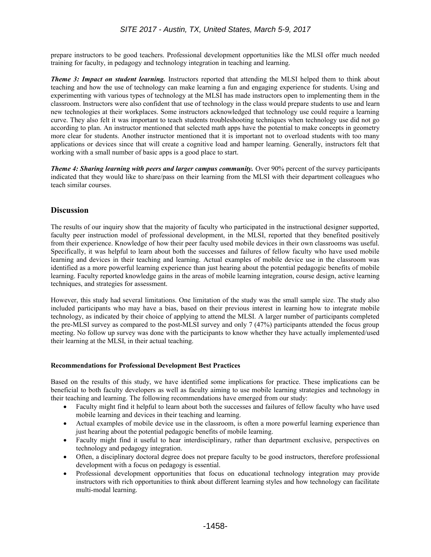prepare instructors to be good teachers. Professional development opportunities like the MLSI offer much needed training for faculty, in pedagogy and technology integration in teaching and learning.

*Theme 3: Impact on student learning.* Instructors reported that attending the MLSI helped them to think about teaching and how the use of technology can make learning a fun and engaging experience for students. Using and experimenting with various types of technology at the MLSI has made instructors open to implementing them in the classroom. Instructors were also confident that use of technology in the class would prepare students to use and learn new technologies at their workplaces. Some instructors acknowledged that technology use could require a learning curve. They also felt it was important to teach students troubleshooting techniques when technology use did not go according to plan. An instructor mentioned that selected math apps have the potential to make concepts in geometry more clear for students. Another instructor mentioned that it is important not to overload students with too many applications or devices since that will create a cognitive load and hamper learning. Generally, instructors felt that working with a small number of basic apps is a good place to start.

*Theme 4: Sharing learning with peers and larger campus community.* Over 90% percent of the survey participants indicated that they would like to share/pass on their learning from the MLSI with their department colleagues who teach similar courses.

## **Discussion**

The results of our inquiry show that the majority of faculty who participated in the instructional designer supported, faculty peer instruction model of professional development, in the MLSI, reported that they benefited positively from their experience. Knowledge of how their peer faculty used mobile devices in their own classrooms was useful. Specifically, it was helpful to learn about both the successes and failures of fellow faculty who have used mobile learning and devices in their teaching and learning. Actual examples of mobile device use in the classroom was identified as a more powerful learning experience than just hearing about the potential pedagogic benefits of mobile learning. Faculty reported knowledge gains in the areas of mobile learning integration, course design, active learning techniques, and strategies for assessment.

However, this study had several limitations. One limitation of the study was the small sample size. The study also included participants who may have a bias, based on their previous interest in learning how to integrate mobile technology, as indicated by their choice of applying to attend the MLSI. A larger number of participants completed the pre-MLSI survey as compared to the post-MLSI survey and only 7 (47%) participants attended the focus group meeting. No follow up survey was done with the participants to know whether they have actually implemented/used their learning at the MLSI, in their actual teaching.

#### **Recommendations for Professional Development Best Practices**

Based on the results of this study, we have identified some implications for practice. These implications can be beneficial to both faculty developers as well as faculty aiming to use mobile learning strategies and technology in their teaching and learning. The following recommendations have emerged from our study:

- Faculty might find it helpful to learn about both the successes and failures of fellow faculty who have used mobile learning and devices in their teaching and learning.
- Actual examples of mobile device use in the classroom, is often a more powerful learning experience than just hearing about the potential pedagogic benefits of mobile learning.
- Faculty might find it useful to hear interdisciplinary, rather than department exclusive, perspectives on technology and pedagogy integration.
- Often, a disciplinary doctoral degree does not prepare faculty to be good instructors, therefore professional development with a focus on pedagogy is essential.
- Professional development opportunities that focus on educational technology integration may provide instructors with rich opportunities to think about different learning styles and how technology can facilitate multi-modal learning.